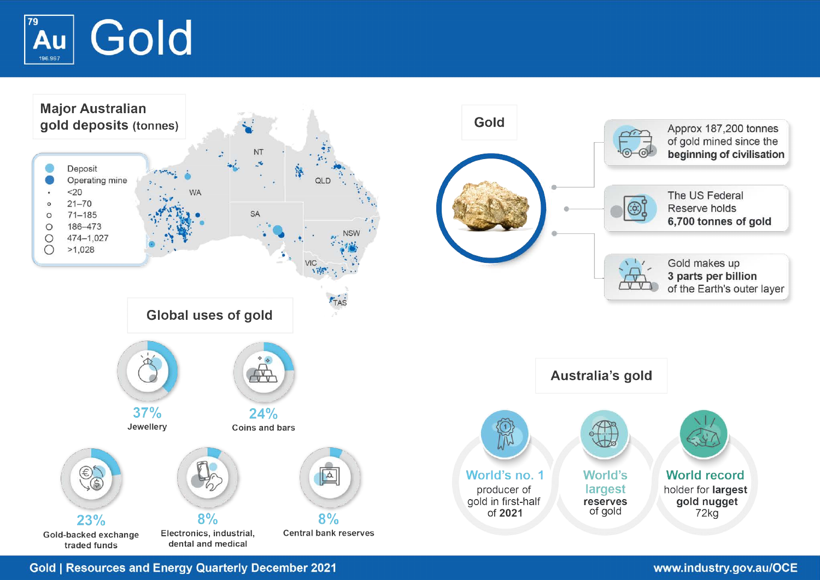



**Gold | Resources and Energy Quarterly December 2021**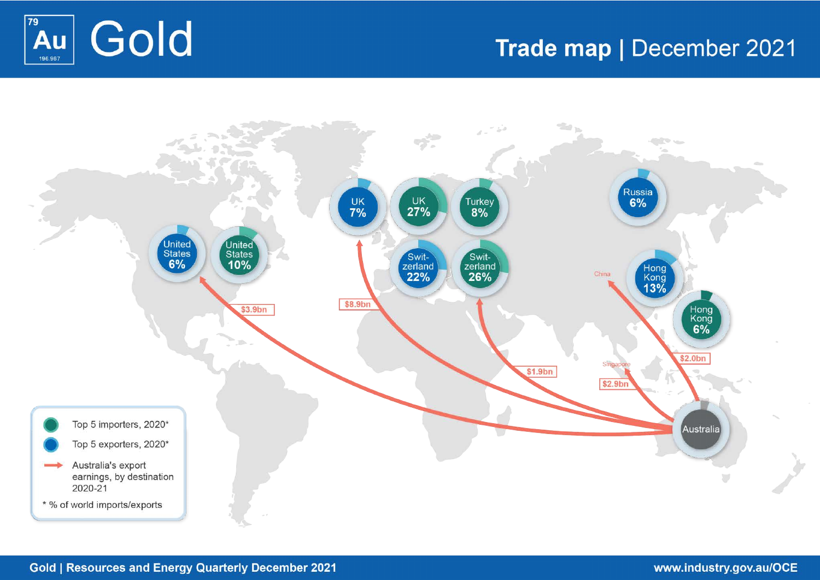

# Trade map | December 2021

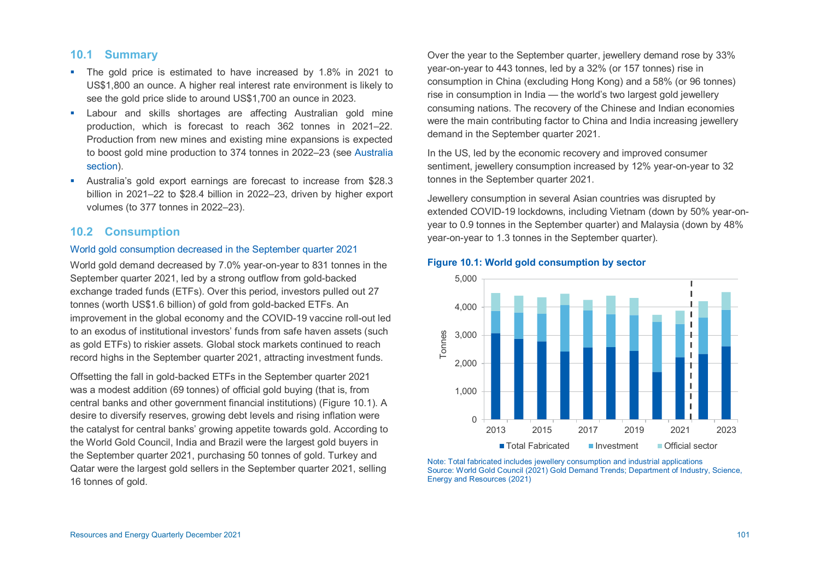# **10.1 Summary**

- The gold price is estimated to have increased by 1.8% in 2021 to US\$1,800 an ounce. A higher real interest rate environment is likely to see the gold price slide to around US\$1,700 an ounce in 2023.
- **E** Labour and skills shortages are affecting Australian gold mine production, which is forecast to reach 362 tonnes in 2021–22. Production from new mines and existing mine expansions is expected to boost gold mine production to 374 tonnes in 2022–23 (see [Australia](#page-6-0) [section\)](#page-6-0).
- Australia's gold export earnings are forecast to increase from \$28.3 billion in 2021–22 to \$28.4 billion in 2022–23, driven by higher export volumes (to 377 tonnes in 2022–23).

# **10.2 Consumption**

### World gold consumption decreased in the September quarter 2021

World gold demand decreased by 7.0% year-on-year to 831 tonnes in the September quarter 2021, led by a strong outflow from gold-backed exchange traded funds (ETFs). Over this period, investors pulled out 27 tonnes (worth US\$1.6 billion) of gold from gold-backed ETFs. An improvement in the global economy and the COVID-19 vaccine roll-out led to an exodus of institutional investors' funds from safe haven assets (such as gold ETFs) to riskier assets. Global stock markets continued to reach record highs in the September quarter 2021, attracting investment funds.

Offsetting the fall in gold-backed ETFs in the September quarter 2021 was a modest addition (69 tonnes) of official gold buying (that is, from central banks and other government financial institutions) (Figure 10.1). A desire to diversify reserves, growing debt levels and rising inflation were the catalyst for central banks' growing appetite towards gold. According to the World Gold Council, India and Brazil were the largest gold buyers in the September quarter 2021, purchasing 50 tonnes of gold. Turkey and Qatar were the largest gold sellers in the September quarter 2021, selling 16 tonnes of gold.

Over the year to the September quarter, jewellery demand rose by 33% year-on-year to 443 tonnes, led by a 32% (or 157 tonnes) rise in consumption in China (excluding Hong Kong) and a 58% (or 96 tonnes) rise in consumption in India — the world's two largest gold jewellery consuming nations. The recovery of the Chinese and Indian economies were the main contributing factor to China and India increasing jewellery demand in the September quarter 2021.

In the US, led by the economic recovery and improved consumer sentiment, jewellery consumption increased by 12% year-on-year to 32 tonnes in the September quarter 2021.

Jewellery consumption in several Asian countries was disrupted by extended COVID-19 lockdowns, including Vietnam (down by 50% year-onyear to 0.9 tonnes in the September quarter) and Malaysia (down by 48% year-on-year to 1.3 tonnes in the September quarter).



### **Figure 10.1: World gold consumption by sector**

Note: Total fabricated includes jewellery consumption and industrial applications Source: World Gold Council (2021) Gold Demand Trends; Department of Industry, Science, Energy and Resources (2021)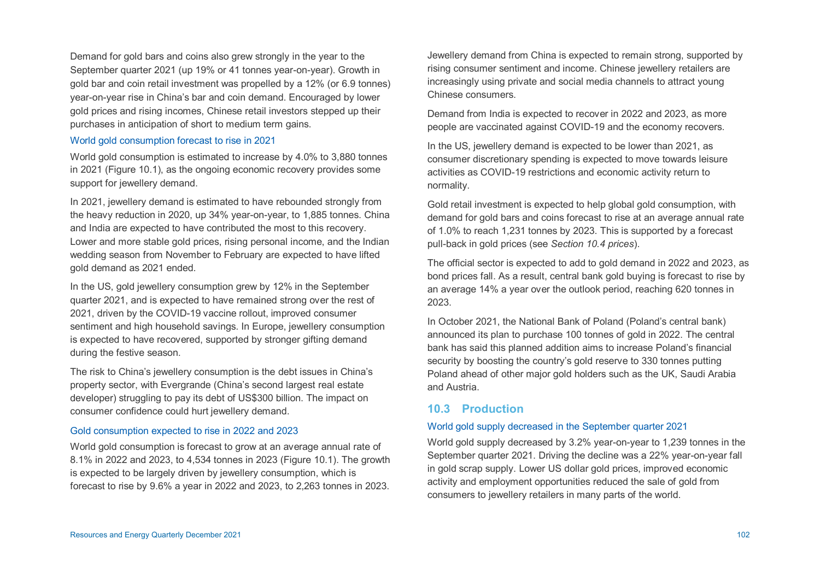Demand for gold bars and coins also grew strongly in the year to the September quarter 2021 (up 19% or 41 tonnes year-on-year). Growth in gold bar and coin retail investment was propelled by a 12% (or 6.9 tonnes) year-on-year rise in China's bar and coin demand. Encouraged by lower gold prices and rising incomes, Chinese retail investors stepped up their purchases in anticipation of short to medium term gains.

### World gold consumption forecast to rise in 2021

World gold consumption is estimated to increase by 4.0% to 3,880 tonnes in 2021 (Figure 10.1), as the ongoing economic recovery provides some support for jewellery demand.

In 2021, jewellery demand is estimated to have rebounded strongly from the heavy reduction in 2020, up 34% year-on-year, to 1,885 tonnes. China and India are expected to have contributed the most to this recovery. Lower and more stable gold prices, rising personal income, and the Indian wedding season from November to February are expected to have lifted gold demand as 2021 ended.

In the US, gold jewellery consumption grew by 12% in the September quarter 2021, and is expected to have remained strong over the rest of 2021, driven by the COVID-19 vaccine rollout, improved consumer sentiment and high household savings. In Europe, jewellery consumption is expected to have recovered, supported by stronger gifting demand during the festive season.

The risk to China's jewellery consumption is the debt issues in China's property sector, with Evergrande (China's second largest real estate developer) struggling to pay its debt of US\$300 billion. The impact on consumer confidence could hurt jewellery demand.

### Gold consumption expected to rise in 2022 and 2023

World gold consumption is forecast to grow at an average annual rate of 8.1% in 2022 and 2023, to 4,534 tonnes in 2023 (Figure 10.1). The growth is expected to be largely driven by jewellery consumption, which is forecast to rise by 9.6% a year in 2022 and 2023, to 2,263 tonnes in 2023.

Jewellery demand from China is expected to remain strong, supported by rising consumer sentiment and income. Chinese jewellery retailers are increasingly using private and social media channels to attract young Chinese consumers.

Demand from India is expected to recover in 2022 and 2023, as more people are vaccinated against COVID-19 and the economy recovers.

In the US, jewellery demand is expected to be lower than 2021, as consumer discretionary spending is expected to move towards leisure activities as COVID-19 restrictions and economic activity return to normality.

Gold retail investment is expected to help global gold consumption, with demand for gold bars and coins forecast to rise at an average annual rate of 1.0% to reach 1,231 tonnes by 2023. This is supported by a forecast pull-back in gold prices (see *Section 10.4 prices*).

The official sector is expected to add to gold demand in 2022 and 2023, as bond prices fall. As a result, central bank gold buying is forecast to rise by an average 14% a year over the outlook period, reaching 620 tonnes in 2023.

In October 2021, the National Bank of Poland (Poland's central bank) announced its plan to purchase 100 tonnes of gold in 2022. The central bank has said this planned addition aims to increase Poland's financial security by boosting the country's gold reserve to 330 tonnes putting Poland ahead of other major gold holders such as the UK, Saudi Arabia and Austria.

### **10.3 Production**

### World gold supply decreased in the September quarter 2021

World gold supply decreased by 3.2% year-on-year to 1,239 tonnes in the September quarter 2021. Driving the decline was a 22% year-on-year fall in gold scrap supply. Lower US dollar gold prices, improved economic activity and employment opportunities reduced the sale of gold from consumers to jewellery retailers in many parts of the world.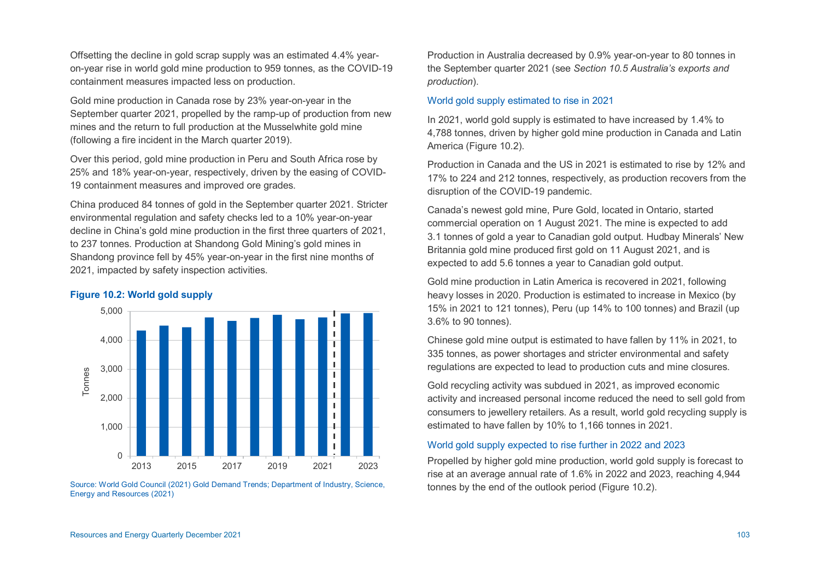Offsetting the decline in gold scrap supply was an estimated 4.4% yearon-year rise in world gold mine production to 959 tonnes, as the COVID-19 containment measures impacted less on production.

Gold mine production in Canada rose by 23% year-on-year in the September quarter 2021, propelled by the ramp-up of production from new mines and the return to full production at the Musselwhite gold mine (following a fire incident in the March quarter 2019).

Over this period, gold mine production in Peru and South Africa rose by 25% and 18% year-on-year, respectively, driven by the easing of COVID-19 containment measures and improved ore grades.

China produced 84 tonnes of gold in the September quarter 2021. Stricter environmental regulation and safety checks led to a 10% year-on-year decline in China's gold mine production in the first three quarters of 2021, to 237 tonnes. Production at Shandong Gold Mining's gold mines in Shandong province fell by 45% year-on-year in the first nine months of 2021, impacted by safety inspection activities.

### **Figure 10.2: World gold supply**



Source: World Gold Council (2021) Gold Demand Trends; Department of Industry, Science, Energy and Resources (2021)

Production in Australia decreased by 0.9% year-on-year to 80 tonnes in the September quarter 2021 (see *Section 10.5 Australia's exports and production*).

### World gold supply estimated to rise in 2021

In 2021, world gold supply is estimated to have increased by 1.4% to 4,788 tonnes, driven by higher gold mine production in Canada and Latin America (Figure 10.2).

Production in Canada and the US in 2021 is estimated to rise by 12% and 17% to 224 and 212 tonnes, respectively, as production recovers from the disruption of the COVID-19 pandemic.

Canada's newest gold mine, Pure Gold, located in Ontario, started commercial operation on 1 August 2021. The mine is expected to add 3.1 tonnes of gold a year to Canadian gold output. Hudbay Minerals' New Britannia gold mine produced first gold on 11 August 2021, and is expected to add 5.6 tonnes a year to Canadian gold output.

Gold mine production in Latin America is recovered in 2021, following heavy losses in 2020. Production is estimated to increase in Mexico (by 15% in 2021 to 121 tonnes), Peru (up 14% to 100 tonnes) and Brazil (up 3.6% to 90 tonnes).

Chinese gold mine output is estimated to have fallen by 11% in 2021, to 335 tonnes, as power shortages and stricter environmental and safety regulations are expected to lead to production cuts and mine closures.

Gold recycling activity was subdued in 2021, as improved economic activity and increased personal income reduced the need to sell gold from consumers to jewellery retailers. As a result, world gold recycling supply is estimated to have fallen by 10% to 1,166 tonnes in 2021.

### World gold supply expected to rise further in 2022 and 2023

Propelled by higher gold mine production, world gold supply is forecast to rise at an average annual rate of 1.6% in 2022 and 2023, reaching 4,944 tonnes by the end of the outlook period (Figure 10.2).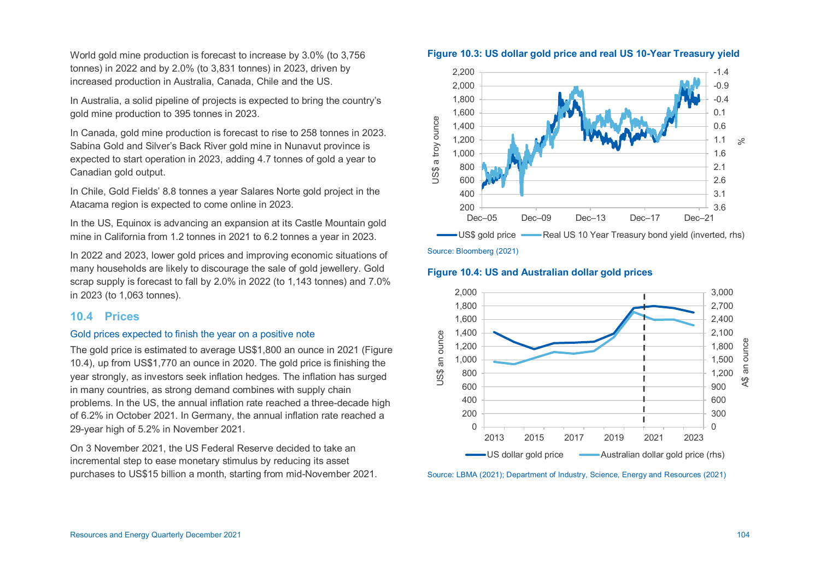World gold mine production is forecast to increase by 3.0% (to 3,756 tonnes) in 2022 and by 2.0% (to 3,831 tonnes) in 2023, driven by increased production in Australia, Canada, Chile and the US.

In Australia, a solid pipeline of projects is expected to bring the country's gold mine production to 395 tonnes in 2023.

In Canada, gold mine production is forecast to rise to 258 tonnes in 2023. Sabina Gold and Silver's Back River gold mine in Nunavut province is expected to start operation in 2023, adding 4.7 tonnes of gold a year to Canadian gold output.

In Chile, Gold Fields' 8.8 tonnes a year Salares Norte gold project in the Atacama region is expected to come online in 2023.

In the US, Equinox is advancing an expansion at its Castle Mountain gold mine in California from 1.2 tonnes in 2021 to 6.2 tonnes a year in 2023.

In 2022 and 2023, lower gold prices and improving economic situations of many households are likely to discourage the sale of gold jewellery. Gold scrap supply is forecast to fall by 2.0% in 2022 (to 1,143 tonnes) and 7.0% in 2023 (to 1,063 tonnes).

# **10.4 Prices**

### Gold prices expected to finish the year on a positive note

The gold price is estimated to average US\$1,800 an ounce in 2021 (Figure 10.4), up from US\$1,770 an ounce in 2020. The gold price is finishing the year strongly, as investors seek inflation hedges. The inflation has surged in many countries, as strong demand combines with supply chain problems. In the US, the annual inflation rate reached a three-decade high of 6.2% in October 2021. In Germany, the annual inflation rate reached a 29-year high of 5.2% in November 2021.

On 3 November 2021, the US Federal Reserve decided to take an incremental step to ease monetary stimulus by reducing its asset purchases to US\$15 billion a month, starting from mid-November 2021.



US\$ gold price — Real US 10 Year Treasury bond yield (inverted, rhs)

Source: Bloomberg (2021)



### **Figure 10.4: US and Australian dollar gold prices**

Source: LBMA (2021); Department of Industry, Science, Energy and Resources (2021)

# **Figure 10.3: US dollar gold price and real US 10-Year Treasury yield**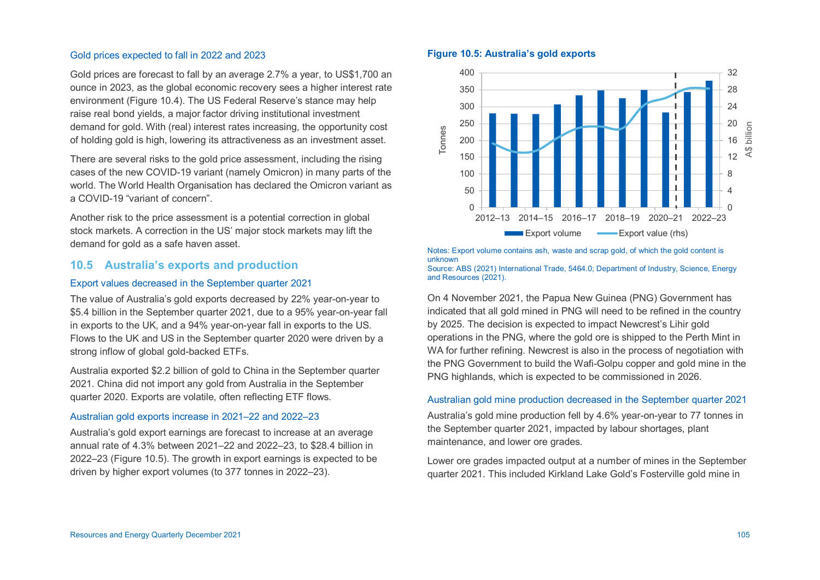### Gold prices expected to fall in 2022 and 2023

Gold prices are forecast to fall by an average 2.7% a year, to US\$1,700 an ounce in 2023, as the global economic recovery sees a higher interest rate environment (Figure 10.4). The US Federal Reserve's stance may help raise real bond yields, a major factor driving institutional investment demand for gold. With (real) interest rates increasing, the opportunity cost of holding gold is high, lowering its attractiveness as an investment asset.

There are several risks to the gold price assessment, including the rising cases of the new COVID-19 variant (namely Omicron) in many parts of the world. The World Health Organisation has declared the Omicron variant as a COVID-19 "variant of concern".

Another risk to the price assessment is a potential correction in global stock markets. A correction in the US' major stock markets may lift the demand for gold as a safe haven asset.

# **10.5 Australia's exports and production**

### Export values decreased in the September quarter 2021

The value of Australia's gold exports decreased by 22% year-on-year to \$5.4 billion in the September quarter 2021, due to a 95% year-on-year fall in exports to the UK, and a 94% year-on-year fall in exports to the US. Flows to the UK and US in the September quarter 2020 were driven by a strong inflow of global gold-backed ETFs.

Australia exported \$2.2 billion of gold to China in the September quarter 2021. China did not import any gold from Australia in the September quarter 2020. Exports are volatile, often reflecting ETF flows.

#### Australian gold exports increase in 2021–22 and 2022–23

Australia's gold export earnings are forecast to increase at an average annual rate of 4.3% between 2021–22 and 2022–23, to \$28.4 billion in 2022–23 (Figure 10.5). The growth in export earnings is expected to be driven by higher export volumes (to 377 tonnes in 2022–23).

### **Figure 10.5: Australia's gold exports**



Notes: Export volume contains ash, waste and scrap gold, of which the gold content is unknown

Source: ABS (2021) International Trade, 5464.0; Department of Industry, Science, Energy and Resources (2021).

On 4 November 2021, the Papua New Guinea (PNG) Government has indicated that all gold mined in PNG will need to be refined in the country by 2025. The decision is expected to impact Newcrest's Lihir gold operations in the PNG, where the gold ore is shipped to the Perth Mint in WA for further refining. Newcrest is also in the process of negotiation with the PNG Government to build the Wafi-Golpu copper and gold mine in the PNG highlands, which is expected to be commissioned in 2026.

### <span id="page-6-0"></span>Australian gold mine production decreased in the September quarter 2021

Australia's gold mine production fell by 4.6% year-on-year to 77 tonnes in the September quarter 2021, impacted by labour shortages, plant maintenance, and lower ore grades.

Lower ore grades impacted output at a number of mines in the September quarter 2021. This included Kirkland Lake Gold's Fosterville gold mine in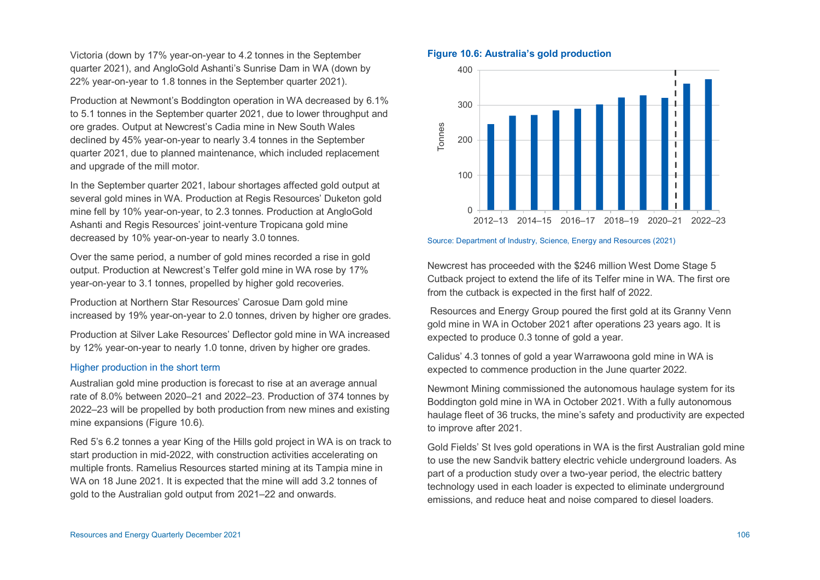Victoria (down by 17% year-on-year to 4.2 tonnes in the September quarter 2021), and AngloGold Ashanti's Sunrise Dam in WA (down by 22% year-on-year to 1.8 tonnes in the September quarter 2021).

Production at Newmont's Boddington operation in WA decreased by 6.1% to 5.1 tonnes in the September quarter 2021, due to lower throughput and ore grades. Output at Newcrest's Cadia mine in New South Wales declined by 45% year-on-year to nearly 3.4 tonnes in the September quarter 2021, due to planned maintenance, which included replacement and upgrade of the mill motor.

In the September quarter 2021, labour shortages affected gold output at several gold mines in WA. Production at Regis Resources' Duketon gold mine fell by 10% year-on-year, to 2.3 tonnes. Production at AngloGold Ashanti and Regis Resources' joint-venture Tropicana gold mine decreased by 10% year-on-year to nearly 3.0 tonnes.

Over the same period, a number of gold mines recorded a rise in gold output. Production at Newcrest's Telfer gold mine in WA rose by 17% year-on-year to 3.1 tonnes, propelled by higher gold recoveries.

Production at Northern Star Resources' Carosue Dam gold mine increased by 19% year-on-year to 2.0 tonnes, driven by higher ore grades.

Production at Silver Lake Resources' Deflector gold mine in WA increased by 12% year-on-year to nearly 1.0 tonne, driven by higher ore grades.

# Higher production in the short term

Australian gold mine production is forecast to rise at an average annual rate of 8.0% between 2020–21 and 2022–23. Production of 374 tonnes by 2022–23 will be propelled by both production from new mines and existing mine expansions (Figure 10.6).

Red 5's 6.2 tonnes a year King of the Hills gold project in WA is on track to start production in mid-2022, with construction activities accelerating on multiple fronts. Ramelius Resources started mining at its Tampia mine in WA on 18 June 2021. It is expected that the mine will add 3.2 tonnes of gold to the Australian gold output from 2021–22 and onwards.

### **Figure 10.6: Australia's gold production**



### Source: Department of Industry, Science, Energy and Resources (2021)

Newcrest has proceeded with the \$246 million West Dome Stage 5 Cutback project to extend the life of its Telfer mine in WA. The first ore from the cutback is expected in the first half of 2022.

 Resources and Energy Group poured the first gold at its Granny Venn gold mine in WA in October 2021 after operations 23 years ago. It is expected to produce 0.3 tonne of gold a year.

Calidus' 4.3 tonnes of gold a year Warrawoona gold mine in WA is expected to commence production in the June quarter 2022.

Newmont Mining commissioned the autonomous haulage system for its Boddington gold mine in WA in October 2021. With a fully autonomous haulage fleet of 36 trucks, the mine's safety and productivity are expected to improve after 2021.

Gold Fields' St Ives gold operations in WA is the first Australian gold mine to use the new Sandvik battery electric vehicle underground loaders. As part of a production study over a two-year period, the electric battery technology used in each loader is expected to eliminate underground emissions, and reduce heat and noise compared to diesel loaders.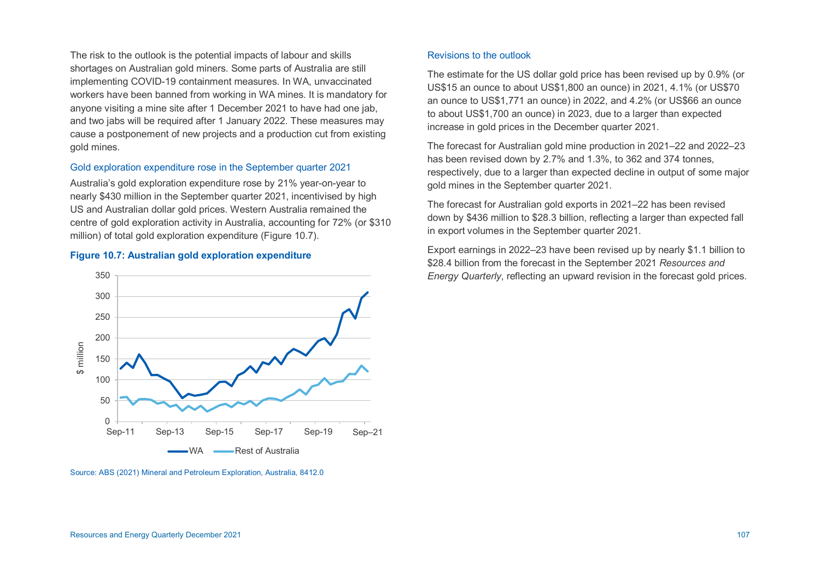The risk to the outlook is the potential impacts of labour and skills shortages on Australian gold miners. Some parts of Australia are still implementing COVID-19 containment measures. In WA, unvaccinated workers have been banned from working in WA mines. It is mandatory for anyone visiting a mine site after 1 December 2021 to have had one jab, and two jabs will be required after 1 January 2022. These measures may cause a postponement of new projects and a production cut from existing gold mines.

### Gold exploration expenditure rose in the September quarter 2021

Australia's gold exploration expenditure rose by 21% year-on-year to nearly \$430 million in the September quarter 2021, incentivised by high US and Australian dollar gold prices. Western Australia remained the centre of gold exploration activity in Australia, accounting for 72% (or \$310 million) of total gold exploration expenditure (Figure 10.7).

### **Figure 10.7: Australian gold exploration expenditure**



Source: ABS (2021) Mineral and Petroleum Exploration, Australia, 8412.0

### Revisions to the outlook

The estimate for the US dollar gold price has been revised up by 0.9% (or US\$15 an ounce to about US\$1,800 an ounce) in 2021, 4.1% (or US\$70 an ounce to US\$1,771 an ounce) in 2022, and 4.2% (or US\$66 an ounce to about US\$1,700 an ounce) in 2023, due to a larger than expected increase in gold prices in the December quarter 2021.

The forecast for Australian gold mine production in 2021–22 and 2022–23 has been revised down by 2.7% and 1.3%, to 362 and 374 tonnes, respectively, due to a larger than expected decline in output of some major gold mines in the September quarter 2021.

The forecast for Australian gold exports in 2021–22 has been revised down by \$436 million to \$28.3 billion, reflecting a larger than expected fall in export volumes in the September quarter 2021.

Export earnings in 2022–23 have been revised up by nearly \$1.1 billion to \$28.4 billion from the forecast in the September 2021 *Resources and Energy Quarterly*, reflecting an upward revision in the forecast gold prices.